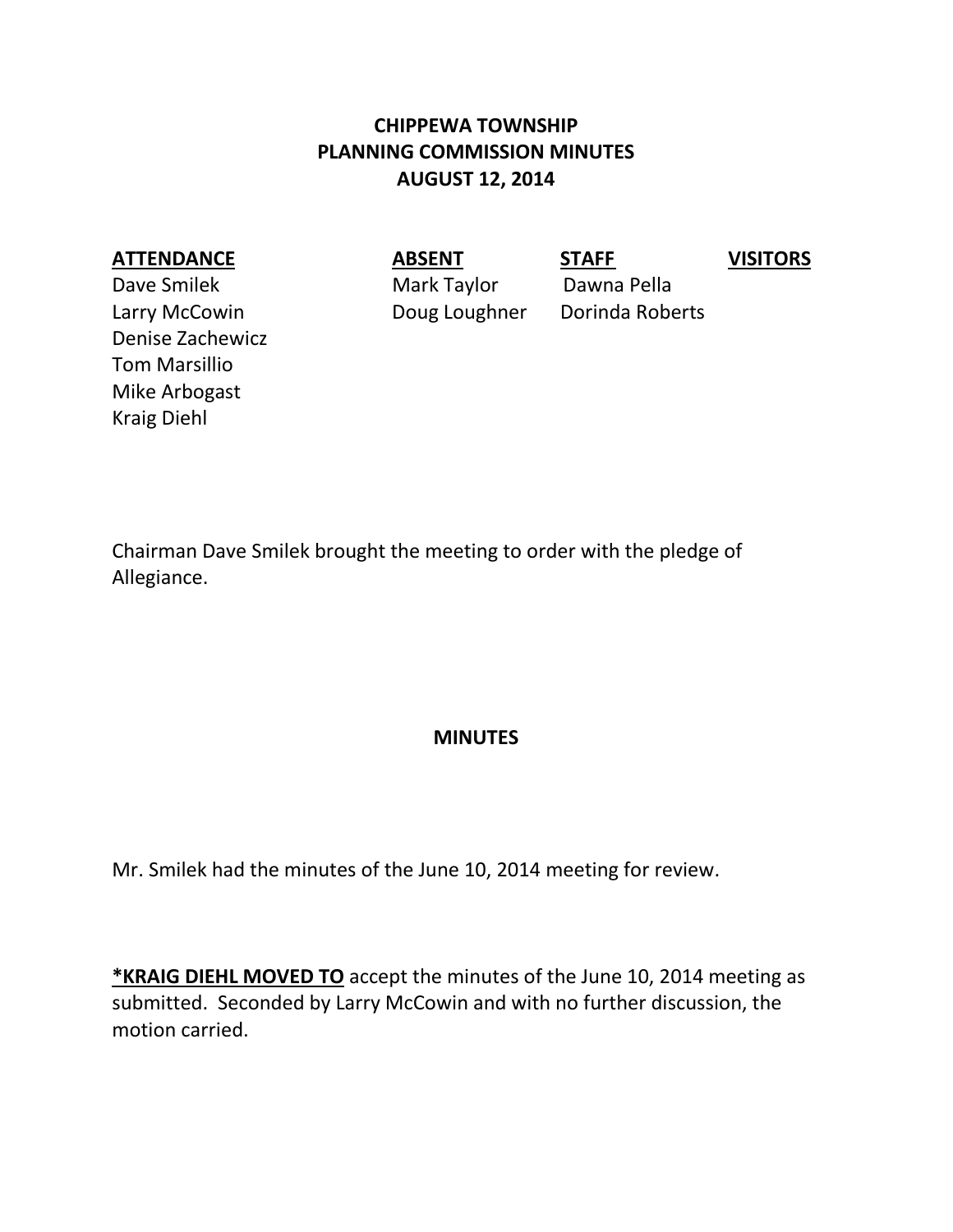## **CHIPPEWA TOWNSHIP PLANNING COMMISSION MINUTES AUGUST 12, 2014**

## **ATTENDANCE ABSENT STAFF VISITORS**

Dave Smilek Mark Taylor Dawna Pella Larry McCowin Doug Loughner Dorinda Roberts Denise Zachewicz Tom Marsillio Mike Arbogast Kraig Diehl

Chairman Dave Smilek brought the meeting to order with the pledge of Allegiance.

## **MINUTES**

Mr. Smilek had the minutes of the June 10, 2014 meeting for review.

**\*KRAIG DIEHL MOVED TO** accept the minutes of the June 10, 2014 meeting as submitted. Seconded by Larry McCowin and with no further discussion, the motion carried.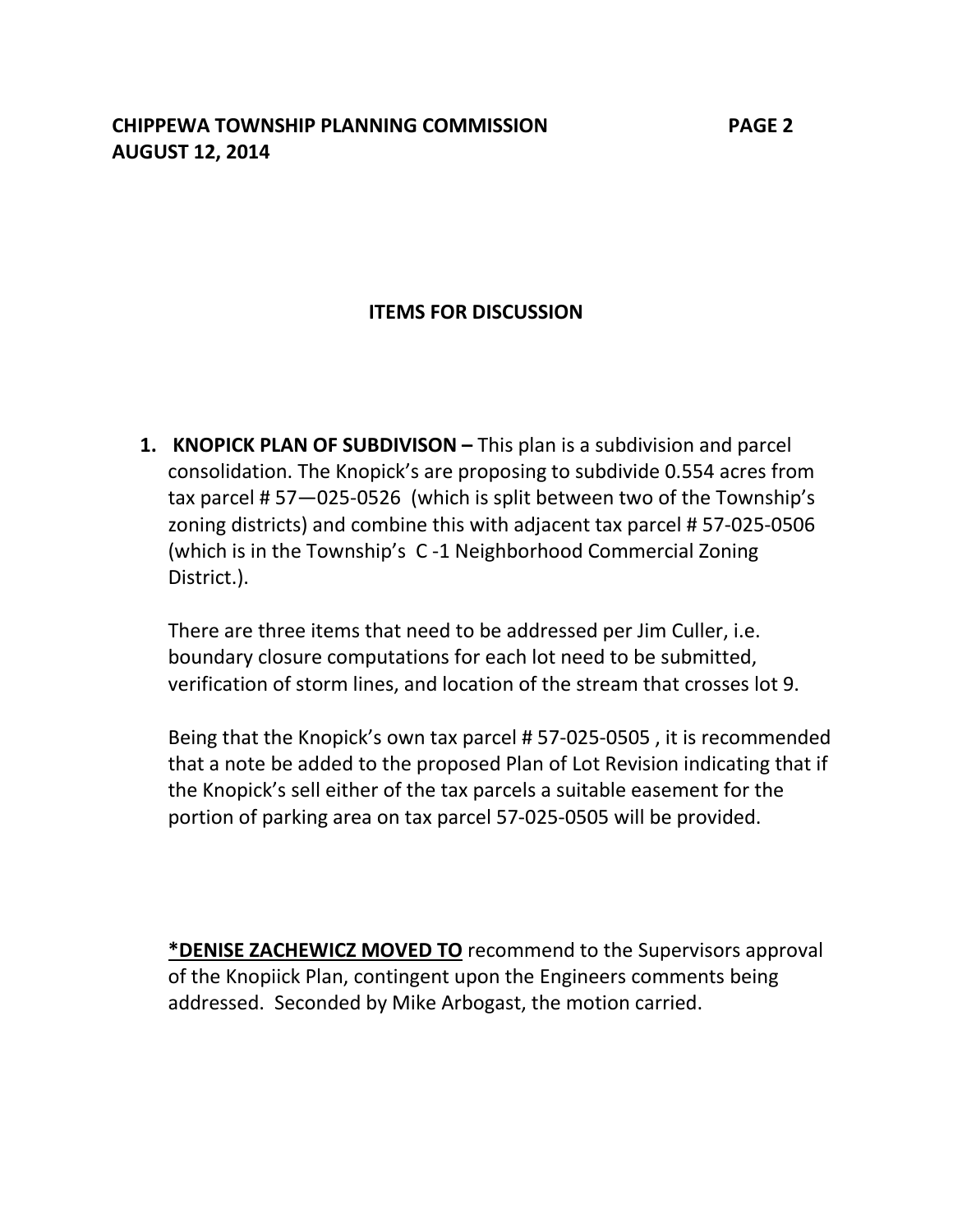## **ITEMS FOR DISCUSSION**

**1. KNOPICK PLAN OF SUBDIVISON –** This plan is a subdivision and parcel consolidation. The Knopick's are proposing to subdivide 0.554 acres from tax parcel # 57—025-0526 (which is split between two of the Township's zoning districts) and combine this with adjacent tax parcel # 57-025-0506 (which is in the Township's C -1 Neighborhood Commercial Zoning District.).

There are three items that need to be addressed per Jim Culler, i.e. boundary closure computations for each lot need to be submitted, verification of storm lines, and location of the stream that crosses lot 9.

Being that the Knopick's own tax parcel # 57-025-0505 , it is recommended that a note be added to the proposed Plan of Lot Revision indicating that if the Knopick's sell either of the tax parcels a suitable easement for the portion of parking area on tax parcel 57-025-0505 will be provided.

**\*DENISE ZACHEWICZ MOVED TO** recommend to the Supervisors approval of the Knopiick Plan, contingent upon the Engineers comments being addressed. Seconded by Mike Arbogast, the motion carried.